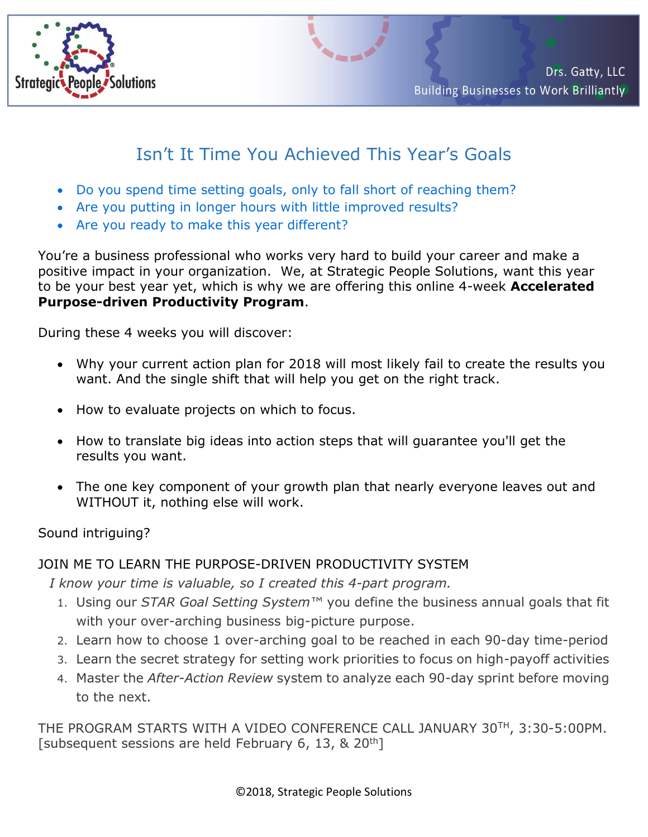

## Isn't It Time You Achieved This Year's Goals

- Do you spend time setting goals, only to fall short of reaching them?
- Are you putting in longer hours with little improved results?
- Are you ready to make this year different?

You're a business professional who works very hard to build your career and make a positive impact in your organization. We, at Strategic People Solutions, want this year to be your best year yet, which is why we are offering this online 4-week **Accelerated Purpose-driven Productivity Program**.

During these 4 weeks you will discover:

- Why your current action plan for 2018 will most likely fail to create the results you want. And the single shift that will help you get on the right track.
- How to evaluate projects on which to focus.
- How to translate big ideas into action steps that will guarantee you'll get the results you want.
- The one key component of your growth plan that nearly everyone leaves out and WITHOUT it, nothing else will work.

Sound intriguing?

## JOIN ME TO LEARN THE PURPOSE-DRIVEN PRODUCTIVITY SYSTEM

*I know your time is valuable, so I created this 4-part program.*

- 1. Using our *STAR Goal Setting System™* you define the business annual goals that fit with your over-arching business big-picture purpose.
- 2. Learn how to choose 1 over-arching goal to be reached in each 90-day time-period
- 3. Learn the secret strategy for setting work priorities to focus on high-payoff activities
- 4. Master the *After-Action Review* system to analyze each 90-day sprint before moving to the next.

THE PROGRAM STARTS WITH A VIDEO CONFERENCE CALL JANUARY 30TH, 3:30-5:00PM. [subsequent sessions are held February 6, 13, & 20<sup>th</sup>]